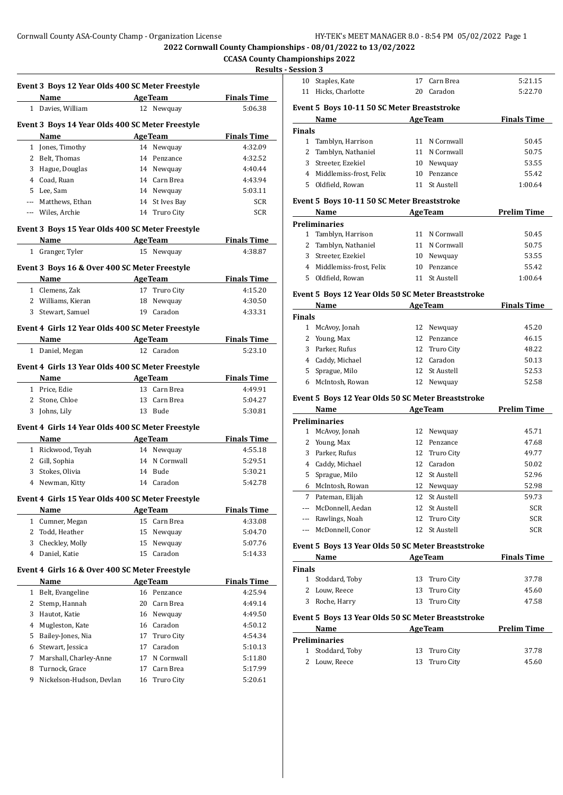**2022 Cornwall County Championships - 08/01/2022 to 13/02/2022**

 $\ddot{\phantom{a}}$ 

### **CCASA County Championships 2022**  $S - S$ ession 3<sup>3</sup>

|        | Event 3 Boys 12 Year Olds 400 SC Meter Freestyle          |          |                                |                    |
|--------|-----------------------------------------------------------|----------|--------------------------------|--------------------|
|        | Name AgeTeam                                              |          |                                | <b>Finals Time</b> |
|        | 1 Davies, William                                         |          | 12 Newquay                     | 5:06.38            |
|        | Event 3 Boys 14 Year Olds 400 SC Meter Freestyle          |          |                                |                    |
|        | Name                                                      |          | <b>AgeTeam</b>                 | <b>Finals Time</b> |
|        | 1 Jones, Timothy                                          |          | 14 Newquay                     | 4:32.09            |
|        | 2 Belt, Thomas                                            |          | 14 Penzance                    | 4:32.52            |
|        | 3 Hague, Douglas                                          |          | 14 Newquay                     | 4:40.44            |
|        | 4 Coad. Ruan                                              |          | 14 Carn Brea                   | 4:43.94            |
|        | 5 Lee, Sam                                                |          | 14 Newquay                     | 5:03.11            |
|        | --- Matthews, Ethan                                       |          | 14 St Ives Bay                 | <b>SCR</b>         |
|        | --- Wiles, Archie                                         |          | 14 Truro City                  | <b>SCR</b>         |
|        | Event 3 Boys 15 Year Olds 400 SC Meter Freestyle          |          |                                |                    |
|        | Name AgeTeam                                              |          |                                | <b>Finals Time</b> |
|        | 1 Granger, Tyler                                          |          | 15 Newquay                     | 4:38.87            |
|        | Event 3 Boys 16 & Over 400 SC Meter Freestyle             |          |                                |                    |
|        | Name AgeTeam                                              |          |                                | <b>Finals Time</b> |
|        | 1 Clemens, Zak                                            |          | 17 Truro City                  | 4:15.20            |
|        | 2 Williams, Kieran                                        | 18       | Newquay                        | 4:30.50            |
|        | 3 Stewart, Samuel                                         |          | 19 Caradon                     | 4:33.31            |
|        | Event 4 Girls 12 Year Olds 400 SC Meter Freestyle         |          |                                |                    |
|        | Name                                                      |          | AgeTeam                        | <b>Finals Time</b> |
|        | 1 Daniel, Megan                                           |          | 12 Caradon                     | 5:23.10            |
|        | Event 4 Girls 13 Year Olds 400 SC Meter Freestyle         |          |                                |                    |
|        | Name<br><b>AgeTeam</b>                                    |          |                                | <b>Finals Time</b> |
|        | 1 Price, Edie                                             |          | 13 Carn Brea                   | 4:49.91            |
|        | 2 Stone, Chloe                                            |          | 13 Carn Brea                   | 5:04.27            |
|        | 3 Johns, Lily                                             |          | 13 Bude                        | 5:30.81            |
|        | Event 4 Girls 14 Year Olds 400 SC Meter Freestyle         |          |                                |                    |
|        | Name                                                      |          | <b>AgeTeam</b>                 | <b>Finals Time</b> |
|        | 1 Rickwood, Teyah                                         |          | 14 Newquay                     | 4:55.18            |
|        | 2 Gill, Sophia                                            |          | 14 N Cornwall                  | 5:29.51            |
|        | 3 Stokes, Olivia                                          |          | 14 Bude                        | 5:30.21            |
|        | 4 Newman, Kitty                                           |          | 14 Caradon                     | 5:42.78            |
|        |                                                           |          |                                |                    |
|        | Event 4 Girls 15 Year Olds 400 SC Meter Freestyle<br>Name |          | <b>AgeTeam</b>                 | <b>Finals Time</b> |
| 1      | Cumner, Megan                                             | 15       | Carn Brea                      | 4:33.08            |
| 2      | Todd, Heather                                             | 15       | Newquay                        | 5:04.70            |
|        | 3 Checkley, Molly                                         | 15       | Newquay                        | 5:07.76            |
|        | 4 Daniel, Katie                                           | 15       | Caradon                        | 5:14.33            |
|        |                                                           |          |                                |                    |
|        | Event 4 Girls 16 & Over 400 SC Meter Freestyle<br>Name    |          | <b>AgeTeam</b>                 | <b>Finals Time</b> |
|        | 1 Belt, Evangeline                                        |          | 16 Penzance                    | 4:25.94            |
|        | Stemp, Hannah                                             |          | 20 Carn Brea                   |                    |
| 2      |                                                           |          |                                | 4:49.14            |
| 3      | Hautot, Katie                                             |          | 16 Newquay                     | 4:49.50            |
| 4      | Mugleston, Kate                                           |          | 16 Caradon                     | 4:50.12            |
| 5      | Bailey-Jones, Nia                                         | 17       | <b>Truro City</b>              | 4:54.34            |
| 6      | Stewart, Jessica                                          | 17       | Caradon                        | 5:10.13            |
|        | Marshall, Charley-Anne                                    | 17       | N Cornwall                     | 5:11.80            |
| 7      |                                                           |          |                                |                    |
| 8<br>9 | Turnock, Grace<br>Nickelson-Hudson, Devlan                | 17<br>16 | Carn Brea<br><b>Truro City</b> | 5:17.99<br>5:20.61 |

| <b>Session 3</b> |                                                    |    |                |                    |
|------------------|----------------------------------------------------|----|----------------|--------------------|
| 10               | Staples, Kate                                      | 17 | Carn Brea      | 5:21.15            |
| 11               | Hicks, Charlotte                                   |    | 20 Caradon     | 5:22.70            |
|                  | Event 5 Boys 10-11 50 SC Meter Breaststroke        |    |                |                    |
|                  | Name<br>and the contract of the                    |    | <b>AgeTeam</b> | <b>Finals Time</b> |
| <b>Finals</b>    |                                                    |    |                |                    |
| $\mathbf{1}$     | Tamblyn, Harrison                                  | 11 | N Cornwall     | 50.45              |
|                  | 2 Tamblyn, Nathaniel                               |    | 11 N Cornwall  | 50.75              |
| 3                | Streeter, Ezekiel                                  |    | 10 Newquay     | 53.55              |
|                  | 4 Middlemiss-frost, Felix                          |    | 10 Penzance    | 55.42              |
| 5                | Oldfield, Rowan                                    | 11 | St Austell     | 1:00.64            |
|                  | Event 5 Boys 10-11 50 SC Meter Breaststroke        |    |                |                    |
|                  | <b>AgeTeam</b><br>Name                             |    |                | <b>Prelim Time</b> |
|                  | <b>Preliminaries</b>                               |    |                |                    |
|                  | 1 Tamblyn, Harrison                                |    | 11 N Cornwall  | 50.45              |
| 2                | Tamblyn, Nathaniel                                 |    | 11 N Cornwall  | 50.75              |
| 3                | Streeter, Ezekiel                                  |    | 10 Newquay     | 53.55              |
|                  | 4 Middlemiss-frost, Felix                          | 10 | Penzance       | 55.42              |
| 5                | Oldfield, Rowan                                    | 11 | St Austell     | 1:00.64            |
|                  | Event 5 Boys 12 Year Olds 50 SC Meter Breaststroke |    |                |                    |
|                  | Name                                               |    | <b>AgeTeam</b> | <b>Finals Time</b> |
| <b>Finals</b>    |                                                    |    |                |                    |
|                  | 1 McAvoy, Jonah                                    | 12 | Newquay        | 45.20              |
| 2                | Young, Max                                         | 12 | Penzance       | 46.15              |
| 3                | Parker, Rufus                                      | 12 | Truro City     | 48.22              |
| 4                | Caddy, Michael                                     | 12 | Caradon        | 50.13              |
| 5                | Sprague, Milo                                      | 12 | St Austell     | 52.53              |
|                  | 6 McIntosh, Rowan                                  | 12 | Newquay        | 52.58              |
|                  | Event 5 Boys 12 Year Olds 50 SC Meter Breaststroke |    |                |                    |
|                  |                                                    |    |                | Dealer Director    |

|          | Name             | <b>AgeTeam</b> |               | <b>Prelim Time</b> |
|----------|------------------|----------------|---------------|--------------------|
|          | Preliminaries    |                |               |                    |
| 1        | McAvoy, Jonah    | 12             | Newguay       | 45.71              |
| 2        | Young, Max       |                | 12 Penzance   | 47.68              |
| 3        | Parker, Rufus    |                | 12 Truro City | 49.77              |
| 4        | Caddy, Michael   | 12             | Caradon       | 50.02              |
| 5.       | Sprague, Milo    |                | 12 St Austell | 52.96              |
| 6        | McIntosh, Rowan  | 12             | Newguay       | 52.98              |
| 7        | Pateman, Elijah  |                | 12 St Austell | 59.73              |
| $\cdots$ | McDonnell, Aedan |                | 12 St Austell | <b>SCR</b>         |
| $---$    | Rawlings, Noah   |                | 12 Truro City | <b>SCR</b>         |
|          | McDonnell, Conor |                | 12 St Austell | <b>SCR</b>         |
|          |                  |                |               |                    |

### **Event 5 Boys 13 Year Olds 50 SC Meter Breaststroke**

| Name             | <b>AgeTeam</b> | <b>Finals Time</b> |
|------------------|----------------|--------------------|
| <b>Finals</b>    |                |                    |
| 1 Stoddard, Toby | 13 Truro City  | 37.78              |
| 2 Louw, Reece    | 13 Truro City  | 45.60              |
| 3 Roche, Harry   | 13 Truro City  | 47.58              |
|                  |                |                    |

# **Event 5 Boys 13 Year Olds 50 SC Meter Breaststroke**

| Name             | <b>AgeTeam</b> |       |
|------------------|----------------|-------|
| Preliminaries    |                |       |
| 1 Stoddard, Toby | 13 Truro City  | 37.78 |
| 2 Louw, Reece    | 13 Truro City  | 45.60 |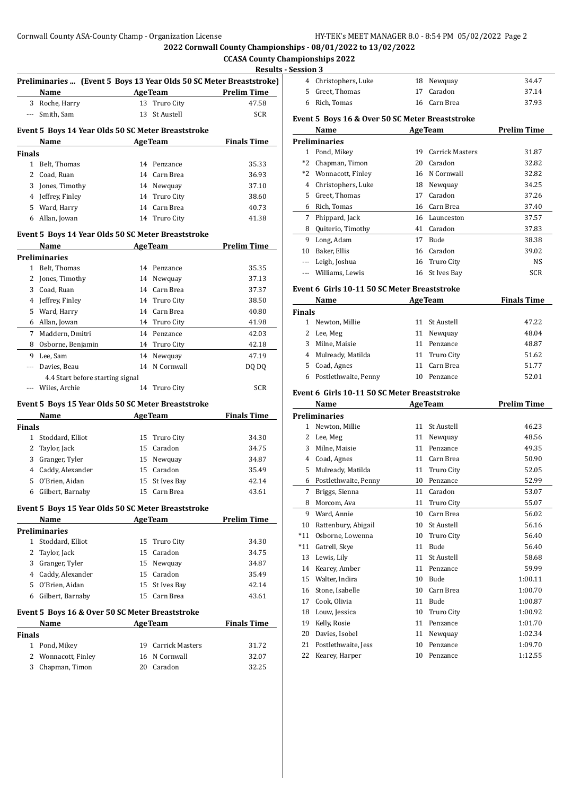**2022 Cornwall County Championships - 08/01/2022 to 13/02/2022**

 $\overline{a}$ 

#### **CCASA County Championships 2022 Results - Session 3**

|              |                                                                             |    |                        | <u>Kesult</u>      |
|--------------|-----------------------------------------------------------------------------|----|------------------------|--------------------|
|              | Preliminaries  (Event 5 Boys 13 Year Olds 50 SC Meter Breaststroke)<br>Name |    | <b>AgeTeam</b>         | <b>Prelim Time</b> |
|              | 3 Roche, Harry                                                              | 13 | Truro City             | 47.58              |
| $---$        | Smith, Sam                                                                  | 13 | St Austell             | <b>SCR</b>         |
|              |                                                                             |    |                        |                    |
|              | Event 5 Boys 14 Year Olds 50 SC Meter Breaststroke                          |    |                        |                    |
|              | Name                                                                        |    | <b>AgeTeam</b>         | <b>Finals Time</b> |
| Finals       |                                                                             |    |                        |                    |
|              | 1 Belt, Thomas                                                              |    | 14 Penzance            | 35.33              |
|              | 2 Coad, Ruan                                                                |    | 14 Carn Brea           | 36.93              |
| 3            | Jones, Timothy                                                              |    | 14 Newquay             | 37.10              |
| 4            | Jeffrey, Finley                                                             |    | 14 Truro City          | 38.60              |
|              | 5 Ward, Harry                                                               |    | 14 Carn Brea           | 40.73              |
| 6            | Allan, Jowan                                                                | 14 | Truro City             | 41.38              |
|              | Event 5 Boys 14 Year Olds 50 SC Meter Breaststroke                          |    |                        |                    |
|              | Name                                                                        |    | <b>AgeTeam</b>         | <b>Prelim Time</b> |
|              | Preliminaries                                                               |    |                        |                    |
| 1            | Belt, Thomas                                                                |    | 14 Penzance            | 35.35              |
| 2            | Jones, Timothy                                                              |    | 14 Newquay             | 37.13              |
| 3            | Coad, Ruan                                                                  |    | 14 Carn Brea           | 37.37              |
|              | 4 Jeffrey, Finley                                                           |    | 14 Truro City          | 38.50              |
|              | 5 Ward, Harry                                                               |    | 14 Carn Brea           | 40.80              |
|              | 6 Allan, Jowan                                                              |    | 14 Truro City          | 41.98              |
|              | 7 Maddern, Dmitri                                                           |    | 14 Penzance            | 42.03              |
| 8            | Osborne, Benjamin                                                           |    | 14 Truro City          | 42.18              |
| 9            | Lee, Sam                                                                    | 14 | Newquay                | 47.19              |
| ---          | Davies, Beau                                                                | 14 | N Cornwall             | DQ DQ              |
|              | 4.4 Start before starting signal                                            |    |                        |                    |
|              | Wiles, Archie                                                               |    | 14 Truro City          | <b>SCR</b>         |
|              | Event 5 Boys 15 Year Olds 50 SC Meter Breaststroke                          |    |                        |                    |
|              | Name                                                                        |    | <b>AgeTeam</b>         | <b>Finals Time</b> |
| Finals       |                                                                             |    |                        |                    |
| $\mathbf{1}$ | Stoddard, Elliot                                                            |    | 15 Truro City          | 34.30              |
| 2            | Taylor, Jack                                                                |    | 15 Caradon             | 34.75              |
| 3            | Granger, Tyler                                                              |    | 15 Newquay             | 34.87              |
|              | 4 Caddy, Alexander                                                          |    | 15 Caradon             | 35.49              |
| 5            | O'Brien, Aidan                                                              |    | 15 St Ives Bay         | 42.14              |
|              | 6 Gilbert, Barnaby                                                          |    | 15 Carn Brea           | 43.61              |
|              | Event 5 Boys 15 Year Olds 50 SC Meter Breaststroke                          |    |                        |                    |
|              | Name<br><u> 1989 - Jan Store, Amerikaansk kon</u>                           |    | <b>AgeTeam</b>         | <b>Prelim Time</b> |
|              | Preliminaries                                                               |    |                        |                    |
|              | 1 Stoddard, Elliot                                                          | 15 | <b>Truro City</b>      | 34.30              |
| 2            | Taylor, Jack                                                                |    | 15 Caradon             | 34.75              |
| 3            | Granger, Tyler                                                              |    | 15 Newquay             | 34.87              |
|              | 4 Caddy, Alexander                                                          |    | 15 Caradon             | 35.49              |
| 5            | O'Brien, Aidan                                                              |    | 15 St Ives Bay         | 42.14              |
| 6            | Gilbert, Barnaby                                                            | 15 | Carn Brea              | 43.61              |
|              |                                                                             |    |                        |                    |
|              | Event 5 Boys 16 & Over 50 SC Meter Breaststroke                             |    |                        |                    |
|              | Name                                                                        |    | <b>AgeTeam</b>         | <b>Finals Time</b> |
| Finals       |                                                                             | 19 | <b>Carrick Masters</b> |                    |
|              | 1 Pond, Mikey                                                               |    |                        | 31.72              |
| 2            | Wonnacott, Finley                                                           |    | 16 N Cornwall          | 32.07              |
| 3            | Chapman, Timon                                                              |    | 20 Caradon             | 32.25              |

| яон э                |              |       |
|----------------------|--------------|-------|
| 4 Christophers, Luke | 18 Newquay   | 34.47 |
| 5 Greet, Thomas      | 17 Caradon   | 37.14 |
| 6 Rich, Tomas        | 16 Carn Brea | 37.93 |

#### **Event 5 Boys 16 & Over 50 SC Meter Breaststroke**

|       | Name               | <b>AgeTeam</b> |                 | <b>Prelim Time</b> |
|-------|--------------------|----------------|-----------------|--------------------|
|       | Preliminaries      |                |                 |                    |
| 1     | Pond, Mikey        | 19             | Carrick Masters | 31.87              |
| $*2$  | Chapman, Timon     | 20             | Caradon         | 32.82              |
| $*2$  | Wonnacott, Finley  |                | 16 N Cornwall   | 32.82              |
| 4     | Christophers, Luke | 18             | Newguay         | 34.25              |
| 5.    | Greet, Thomas      | 17             | Caradon         | 37.26              |
| 6     | Rich, Tomas        | 16             | Carn Brea       | 37.40              |
| 7     | Phippard, Jack     | 16             | Launceston      | 37.57              |
| 8     | Quiterio, Timothy  | 41             | Caradon         | 37.83              |
| 9     | Long, Adam         | 17             | <b>Bude</b>     | 38.38              |
| 10    | Baker, Ellis       | 16             | Caradon         | 39.02              |
| $---$ | Leigh, Joshua      | 16             | Truro City      | <b>NS</b>          |
|       | Williams, Lewis    |                | 16 St Ives Bay  | <b>SCR</b>         |

#### **Event 6 Girls 10-11 50 SC Meter Breaststroke**

|               | <b>Name</b>          | <b>AgeTeam</b> |               | <b>Finals Time</b> |
|---------------|----------------------|----------------|---------------|--------------------|
| <b>Finals</b> |                      |                |               |                    |
|               | Newton, Millie       |                | 11 St Austell | 47.22              |
|               | 2 Lee, Meg           | 11             | Newquay       | 48.04              |
| 3             | Milne. Maisie        | 11             | Penzance      | 48.87              |
|               | 4 Mulready, Matilda  |                | 11 Truro City | 51.62              |
| 5.            | Coad, Agnes          | 11             | Carn Brea     | 51.77              |
| 6             | Postlethwaite, Penny | 10             | Penzance      | 52.01              |

#### **Event 6 Girls 10-11 50 SC Meter Breaststroke**

|       | Name                 |    | <b>AgeTeam</b>    | <b>Prelim Time</b> |
|-------|----------------------|----|-------------------|--------------------|
|       | <b>Preliminaries</b> |    |                   |                    |
| 1     | Newton, Millie       | 11 | <b>St Austell</b> | 46.23              |
| 2     | Lee, Meg             | 11 | Newquay           | 48.56              |
| 3     | Milne, Maisie        | 11 | Penzance          | 49.35              |
| 4     | Coad, Agnes          | 11 | Carn Brea         | 50.90              |
| 5     | Mulready, Matilda    | 11 | Truro City        | 52.05              |
| 6     | Postlethwaite, Penny | 10 | Penzance          | 52.99              |
| 7     | Briggs, Sienna       | 11 | Caradon           | 53.07              |
| 8     | Morcom, Ava          | 11 | Truro City        | 55.07              |
| 9     | Ward, Annie          | 10 | Carn Brea         | 56.02              |
| 10    | Rattenbury, Abigail  | 10 | St Austell        | 56.16              |
| $*11$ | Osborne, Lowenna     | 10 | Truro City        | 56.40              |
| $*11$ | Gatrell, Skye        | 11 | <b>Bude</b>       | 56.40              |
| 13    | Lewis, Lily          | 11 | <b>St Austell</b> | 58.68              |
| 14    | Kearey, Amber        | 11 | Penzance          | 59.99              |
| 15    | Walter, Indira       | 10 | Bude              | 1:00.11            |
| 16    | Stone, Isabelle      | 10 | Carn Brea         | 1:00.70            |
| 17    | Cook, Olivia         | 11 | <b>Bude</b>       | 1:00.87            |
| 18    | Louw, Jessica        | 10 | Truro City        | 1:00.92            |
| 19    | Kelly, Rosie         | 11 | Penzance          | 1:01.70            |
| 20    | Davies, Isobel       | 11 | Newquay           | 1:02.34            |
| 21    | Postlethwaite, Jess  | 10 | Penzance          | 1:09.70            |
| 22    | Kearey, Harper       | 10 | Penzance          | 1:12.55            |
|       |                      |    |                   |                    |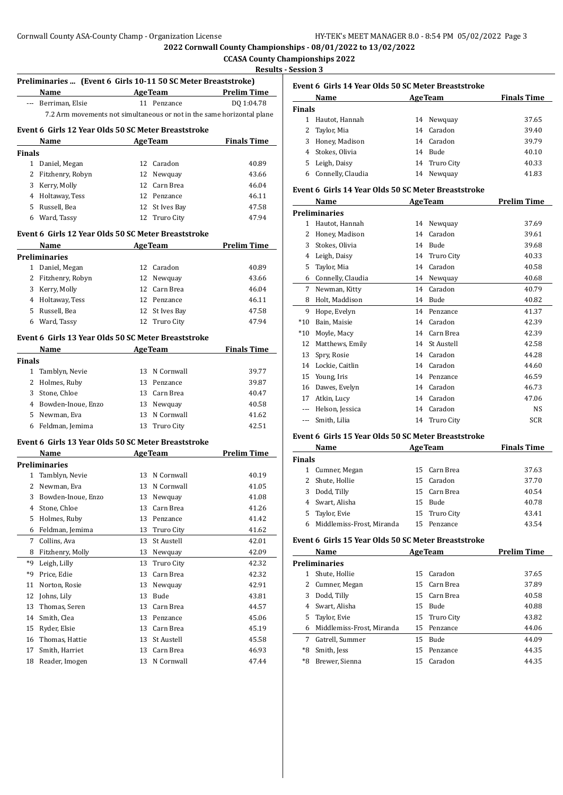**2022 Cornwall County Championships - 08/01/2022 to 13/02/2022**

### **CCASA County Championships 2022 Results - Session 3**

|        | Preliminaries  (Event 6 Girls 10-11 50 SC Meter Breaststroke)<br>Name  |    |                             | <b>Example 2 Age Team</b> Prelim Time |
|--------|------------------------------------------------------------------------|----|-----------------------------|---------------------------------------|
|        |                                                                        |    |                             |                                       |
|        | --- Berriman, Elsie                                                    |    | 11 Penzance                 | DO 1:04.78                            |
|        | 7.2 Arm movements not simultaneous or not in the same horizontal plane |    |                             |                                       |
|        | Event 6 Girls 12 Year Olds 50 SC Meter Breaststroke                    |    |                             |                                       |
|        | Name                                                                   |    | <b>Example 2.1 Age Team</b> | <b>Finals Time</b>                    |
| Finals |                                                                        |    |                             |                                       |
|        | 1 Daniel, Megan                                                        |    | 12 Caradon                  | 40.89                                 |
| 2      | Fitzhenry, Robyn                                                       |    | 12 Newquay                  | 43.66                                 |
|        | 3 Kerry, Molly                                                         |    | 12 Carn Brea                | 46.04                                 |
|        | 4 Holtaway, Tess                                                       |    | 12 Penzance                 | 46.11                                 |
|        | 5 Russell, Bea                                                         |    | 12 St Ives Bay              | 47.58                                 |
|        | 6 Ward, Tassy                                                          |    | 12 Truro City               | 47.94                                 |
|        | Event 6 Girls 12 Year Olds 50 SC Meter Breaststroke                    |    |                             |                                       |
|        | Name<br><b>AgeTeam</b>                                                 |    |                             | <b>Prelim Time</b>                    |
|        | Preliminaries                                                          |    |                             |                                       |
|        | 1 Daniel, Megan                                                        |    | 12 Caradon                  | 40.89                                 |
|        | 2 Fitzhenry, Robyn                                                     |    | 12 Newquay                  | 43.66                                 |
|        | 3 Kerry, Molly                                                         |    | 12 Carn Brea                | 46.04                                 |
|        | 4 Holtaway, Tess                                                       |    | 12 Penzance                 | 46.11                                 |
|        | 5 Russell, Bea                                                         |    | 12 St Ives Bay              | 47.58                                 |
|        | 6 Ward, Tassy                                                          | 12 | Truro City                  | 47.94                                 |
|        |                                                                        |    |                             |                                       |
|        | Event 6 Girls 13 Year Olds 50 SC Meter Breaststroke                    |    |                             |                                       |
|        | Name                                                                   |    | <b>AgeTeam</b>              | <b>Finals Time</b>                    |
| Finals |                                                                        |    |                             |                                       |
|        | 1 Tamblyn, Nevie                                                       |    | 13 N Cornwall               | 39.77                                 |
|        | 2 Holmes, Ruby                                                         |    | 13 Penzance                 | 39.87                                 |
|        | 3 Stone, Chloe                                                         |    | 13 Carn Brea                | 40.47                                 |
|        | 4 Bowden-Inoue, Enzo                                                   |    | 13 Newquay                  | 40.58                                 |
|        | 5 Newman, Eva                                                          |    | 13 N Cornwall               | 41.62                                 |
|        | 6 Feldman, Jemima                                                      | 13 | Truro City                  | 42.51                                 |
|        | Event 6 Girls 13 Year Olds 50 SC Meter Breaststroke                    |    |                             |                                       |
|        | <b>Name</b>                                                            |    | <b>AgeTeam</b>              | <b>Prelim Time</b>                    |
|        | Preliminaries                                                          |    |                             |                                       |
| 1      | Tamblyn, Nevie                                                         |    | 13 N Cornwall               | 40.19                                 |
| 2      | Newman, Eva                                                            |    | 13 N Cornwall               | 41.05                                 |
| 3      | Bowden-Inoue, Enzo                                                     |    | 13 Newquay                  | 41.08                                 |
| 4      | Stone, Chloe                                                           | 13 | Carn Brea                   | 41.26                                 |
| 5      | Holmes, Ruby                                                           | 13 | Penzance                    | 41.42                                 |
| 6      | Feldman, Jemima                                                        | 13 | <b>Truro City</b>           | 41.62                                 |
| 7      | Collins, Ava                                                           | 13 | St Austell                  | 42.01                                 |
| 8      | Fitzhenry, Molly                                                       | 13 | Newquay                     | 42.09                                 |
| *9     | Leigh, Lilly                                                           | 13 | Truro City                  | 42.32                                 |
| *9     | Price, Edie                                                            | 13 | Carn Brea                   | 42.32                                 |
| 11     | Norton, Rosie                                                          | 13 | Newquay                     | 42.91                                 |
| 12     | Johns, Lily                                                            | 13 | Bude                        | 43.81                                 |
| 13     | Thomas, Seren                                                          | 13 | Carn Brea                   | 44.57                                 |
| 14     | Smith, Clea                                                            | 13 | Penzance                    | 45.06                                 |
| 15     | Ryder, Elsie                                                           | 13 | Carn Brea                   | 45.19                                 |
| 16     | Thomas, Hattie                                                         | 13 | St Austell                  | 45.58                                 |
| 17     | Smith, Harriet                                                         | 13 | Carn Brea                   | 46.93                                 |
| 18     | Reader, Imogen                                                         | 13 | N Cornwall                  | 47.44                                 |
|        |                                                                        |    |                             |                                       |

# **Event 6 Girls 14 Year Olds 50 SC Meter Breaststroke**

| Name              | <b>AgeTeam</b> |         | <b>Finals Time</b>                                                 |
|-------------------|----------------|---------|--------------------------------------------------------------------|
| Finals            |                |         |                                                                    |
| Hautot, Hannah    |                |         | 37.65                                                              |
| 2 Taylor, Mia     |                |         | 39.40                                                              |
| Honey, Madison    |                |         | 39.79                                                              |
| Stokes, Olivia    |                |         | 40.10                                                              |
| Leigh, Daisy      |                |         | 40.33                                                              |
| Connelly, Claudia | 14             | Newguay | 41.83                                                              |
|                   |                |         | 14 Newquay<br>14 Caradon<br>14 Caradon<br>14 Bude<br>14 Truro City |

# **Event 6 Girls 14 Year Olds 50 SC Meter Breaststroke**

|       | Name                 |    | <b>AgeTeam</b>    | Prelim Time |
|-------|----------------------|----|-------------------|-------------|
|       | <b>Preliminaries</b> |    |                   |             |
| 1     | Hautot, Hannah       | 14 | Newquay           | 37.69       |
| 2     | Honey, Madison       | 14 | Caradon           | 39.61       |
| 3     | Stokes, Olivia       | 14 | Bude              | 39.68       |
| 4     | Leigh, Daisy         | 14 | Truro City        | 40.33       |
| 5     | Taylor, Mia          | 14 | Caradon           | 40.58       |
| 6     | Connelly, Claudia    | 14 | Newquay           | 40.68       |
| 7     | Newman, Kitty        | 14 | Caradon           | 40.79       |
| 8     | Holt, Maddison       | 14 | Bude              | 40.82       |
| 9     | Hope, Evelyn         | 14 | Penzance          | 41.37       |
| $*10$ | Bain, Maisie         | 14 | Caradon           | 42.39       |
| $*10$ | Moyle, Macy          | 14 | Carn Brea         | 42.39       |
| 12    | Matthews, Emily      | 14 | <b>St Austell</b> | 42.58       |
| 13    | Spry, Rosie          | 14 | Caradon           | 44.28       |
| 14    | Lockie, Caitlin      | 14 | Caradon           | 44.60       |
| 15    | Young, Iris          | 14 | Penzance          | 46.59       |
| 16    | Dawes, Evelyn        | 14 | Caradon           | 46.73       |
| 17    | Atkin, Lucy          | 14 | Caradon           | 47.06       |
| $---$ | Helson, Jessica      | 14 | Caradon           | <b>NS</b>   |
|       | Smith, Lilia         | 14 | Truro City        | <b>SCR</b>  |

# **Event 6 Girls 15 Year Olds 50 SC Meter Breaststroke**

|               | Name                      | <b>AgeTeam</b> | <b>Finals Time</b> |
|---------------|---------------------------|----------------|--------------------|
| <b>Finals</b> |                           |                |                    |
|               | Cumner, Megan             | 15 Carn Brea   | 37.63              |
|               | Shute, Hollie             | 15 Caradon     | 37.70              |
| 3             | Dodd, Tilly               | 15 Carn Brea   | 40.54              |
|               | 4 Swart, Alisha           | Bude<br>15     | 40.78              |
| 5.            | Taylor, Evie              | 15 Truro City  | 43.41              |
| 6             | Middlemiss-Frost, Miranda | 15 Penzance    | 43.54              |

#### **Event 6 Girls 15 Year Olds 50 SC Meter Breaststroke**

|    | Name                      |    | <b>AgeTeam</b> | <b>Prelim Time</b> |
|----|---------------------------|----|----------------|--------------------|
|    | <b>Preliminaries</b>      |    |                |                    |
|    | Shute, Hollie             |    | 15 Caradon     | 37.65              |
| 2  | Cumner, Megan             |    | 15 Carn Brea   | 37.89              |
| 3  | Dodd, Tilly               |    | 15 Carn Brea   | 40.58              |
| 4  | Swart, Alisha             |    | 15 Bude        | 40.88              |
| 5. | Taylor, Evie              |    | 15 Truro City  | 43.82              |
| 6. | Middlemiss-Frost, Miranda |    | 15 Penzance    | 44.06              |
| 7  | Gatrell, Summer           | 15 | <b>Bude</b>    | 44.09              |
| *8 | Smith, Jess               |    | 15 Penzance    | 44.35              |
| *8 | Brewer, Sienna            | 15 | Caradon        | 44.35              |